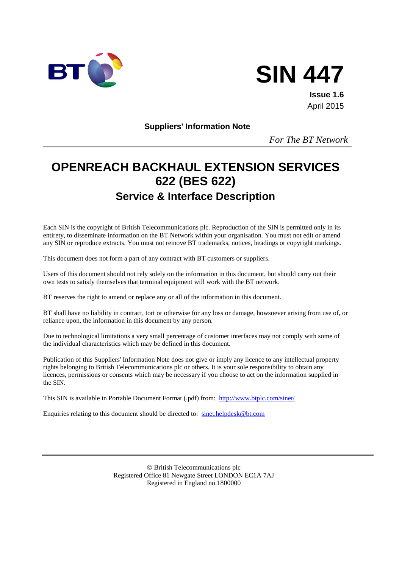



**Issue 1.6** April 2015

**Suppliers' Information Note**

*For The BT Network*

# **OPENREACH BACKHAUL EXTENSION SERVICES 622 (BES 622) Service & Interface Description**

Each SIN is the copyright of British Telecommunications plc. Reproduction of the SIN is permitted only in its entirety, to disseminate information on the BT Network within your organisation. You must not edit or amend any SIN or reproduce extracts. You must not remove BT trademarks, notices, headings or copyright markings.

This document does not form a part of any contract with BT customers or suppliers.

Users of this document should not rely solely on the information in this document, but should carry out their own tests to satisfy themselves that terminal equipment will work with the BT network.

BT reserves the right to amend or replace any or all of the information in this document.

BT shall have no liability in contract, tort or otherwise for any loss or damage, howsoever arising from use of, or reliance upon, the information in this document by any person.

Due to technological limitations a very small percentage of customer interfaces may not comply with some of the individual characteristics which may be defined in this document.

Publication of this Suppliers' Information Note does not give or imply any licence to any intellectual property rights belonging to British Telecommunications plc or others. It is your sole responsibility to obtain any licences, permissions or consents which may be necessary if you choose to act on the information supplied in the SIN.

This SIN is available in Portable Document Format (.pdf) from: <http://www.btplc.com/sinet/>

Enquiries relating to this document should be directed to: [sinet.helpdesk@bt.com](mailto:sinet.helpdesk@bt.com)

 British Telecommunications plc Registered Office 81 Newgate Street LONDON EC1A 7AJ Registered in England no.1800000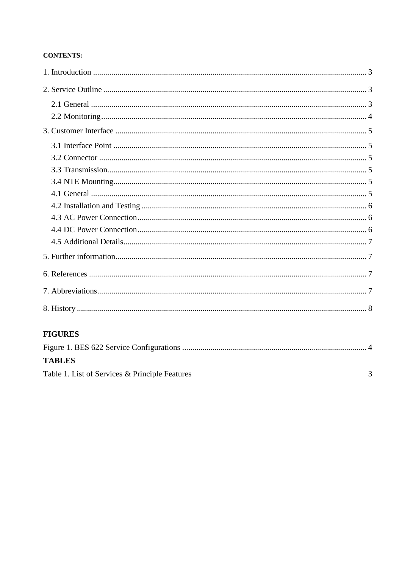#### **CONTENTS:**

## **FIGURES**

| <b>TABLES</b>                                  |  |
|------------------------------------------------|--|
| Table 1. List of Services & Principle Features |  |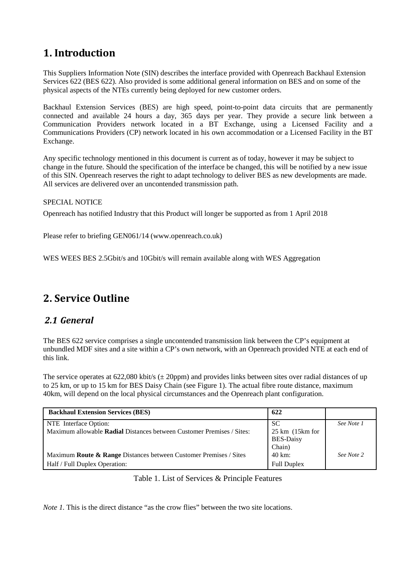## <span id="page-2-0"></span>**1. Introduction**

This Suppliers Information Note (SIN) describes the interface provided with Openreach Backhaul Extension Services 622 (BES 622). Also provided is some additional general information on BES and on some of the physical aspects of the NTEs currently being deployed for new customer orders.

Backhaul Extension Services (BES) are high speed, point-to-point data circuits that are permanently connected and available 24 hours a day, 365 days per year. They provide a secure link between a Communication Providers network located in a BT Exchange, using a Licensed Facility and a Communications Providers (CP) network located in his own accommodation or a Licensed Facility in the BT Exchange.

Any specific technology mentioned in this document is current as of today, however it may be subject to change in the future. Should the specification of the interface be changed, this will be notified by a new issue of this SIN. Openreach reserves the right to adapt technology to deliver BES as new developments are made. All services are delivered over an uncontended transmission path.

#### SPECIAL NOTICE

Openreach has notified Industry that this Product will longer be supported as from 1 April 2018

Please refer to briefing GEN061/14 (www.openreach.co.uk)

WES WEES BES 2.5Gbit/s and 10Gbit/s will remain available along with WES Aggregation

## <span id="page-2-1"></span>**2. Service Outline**

## <span id="page-2-2"></span>*2.1 General*

The BES 622 service comprises a single uncontended transmission link between the CP's equipment at unbundled MDF sites and a site within a CP's own network, with an Openreach provided NTE at each end of this link.

The service operates at  $622,080$  kbit/s ( $\pm 20$ ppm) and provides links between sites over radial distances of up to 25 km, or up to 15 km for BES Daisy Chain (see Figure 1). The actual fibre route distance, maximum 40km, will depend on the local physical circumstances and the Openreach plant configuration.

| <b>Backhaul Extension Services (BES)</b>                                     | 622                                 |            |
|------------------------------------------------------------------------------|-------------------------------------|------------|
| NTE Interface Option:                                                        | <sub>SC</sub>                       | See Note 1 |
| Maximum allowable Radial Distances between Customer Premises / Sites:        | $25 \text{ km}$ (15 $\text{km}$ for |            |
|                                                                              | <b>BES-Daisy</b>                    |            |
|                                                                              | Chain)                              |            |
| Maximum <b>Route &amp; Range</b> Distances between Customer Premises / Sites | 40 km:                              | See Note 2 |
| Half / Full Duplex Operation:                                                | <b>Full Duplex</b>                  |            |

Table 1. List of Services & Principle Features

<span id="page-2-3"></span>*Note 1*. This is the direct distance "as the crow flies" between the two site locations.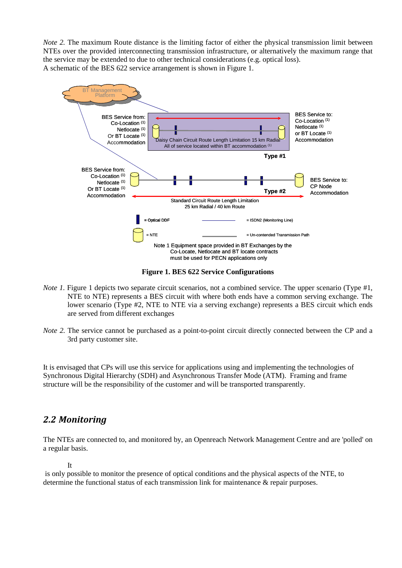*Note 2.* The maximum Route distance is the limiting factor of either the physical transmission limit between NTEs over the provided interconnecting transmission infrastructure, or alternatively the maximum range that the service may be extended to due to other technical considerations (e.g. optical loss). A schematic of the BES 622 service arrangement is shown in Figure 1.



**Figure 1. BES 622 Service Configurations**

- <span id="page-3-1"></span>*Note 1.* Figure 1 depicts two separate circuit scenarios, not a combined service. The upper scenario (Type #1, NTE to NTE) represents a BES circuit with where both ends have a common serving exchange. The lower scenario (Type #2, NTE to NTE via a serving exchange) represents a BES circuit which ends are served from different exchanges
- *Note 2.* The service cannot be purchased as a point-to-point circuit directly connected between the CP and a 3rd party customer site.

It is envisaged that CPs will use this service for applications using and implementing the technologies of Synchronous Digital Hierarchy (SDH) and Asynchronous Transfer Mode (ATM). Framing and frame structure will be the responsibility of the customer and will be transported transparently.

## <span id="page-3-0"></span>*2.2 Monitoring*

The NTEs are connected to, and monitored by, an Openreach Network Management Centre and are 'polled' on a regular basis.

It

is only possible to monitor the presence of optical conditions and the physical aspects of the NTE, to determine the functional status of each transmission link for maintenance & repair purposes.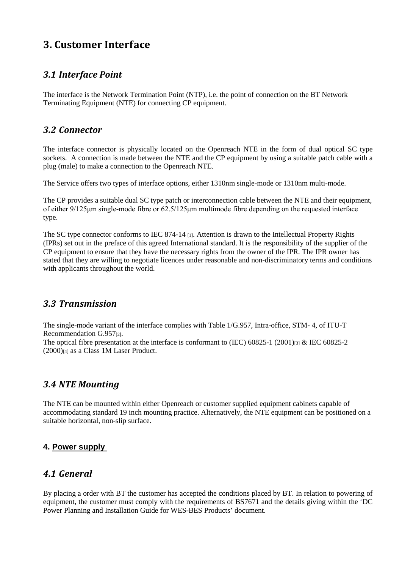## <span id="page-4-0"></span>**3. Customer Interface**

## <span id="page-4-1"></span>*3.1 Interface Point*

The interface is the Network Termination Point (NTP), i.e. the point of connection on the BT Network Terminating Equipment (NTE) for connecting CP equipment.

## <span id="page-4-2"></span>*3.2 Connector*

The interface connector is physically located on the Openreach NTE in the form of dual optical SC type sockets. A connection is made between the NTE and the CP equipment by using a suitable patch cable with a plug (male) to make a connection to the Openreach NTE.

The Service offers two types of interface options, either 1310nm single-mode or 1310nm multi-mode.

The CP provides a suitable dual SC type patch or interconnection cable between the NTE and their equipment, of either 9/125μm single-mode fibre or 62.5/125μm multimode fibre depending on the requested interface type.

The SC type connector conforms to IEC 874-14 [1]. Attention is drawn to the Intellectual Property Rights (IPRs) set out in the preface of this agreed International standard. It is the responsibility of the supplier of the CP equipment to ensure that they have the necessary rights from the owner of the IPR. The IPR owner has stated that they are willing to negotiate licences under reasonable and non-discriminatory terms and conditions with applicants throughout the world.

## <span id="page-4-3"></span>*3.3 Transmission*

The single-mode variant of the interface complies with Table 1/G.957, Intra-office, STM- 4, of ITU-T Recommendation G.957[2].

The optical fibre presentation at the interface is conformant to (IEC) 60825-1 (2001)[3] & IEC 60825-2 (2000)[4] as a Class 1M Laser Product.

## <span id="page-4-4"></span>*3.4 NTE Mounting*

The NTE can be mounted within either Openreach or customer supplied equipment cabinets capable of accommodating standard 19 inch mounting practice. Alternatively, the NTE equipment can be positioned on a suitable horizontal, non-slip surface.

#### **4. Power supply**

## <span id="page-4-5"></span>*4.1 General*

By placing a order with BT the customer has accepted the conditions placed by BT. In relation to powering of equipment, the customer must comply with the requirements of BS7671 and the details giving within the 'DC Power Planning and Installation Guide for WES-BES Products' document.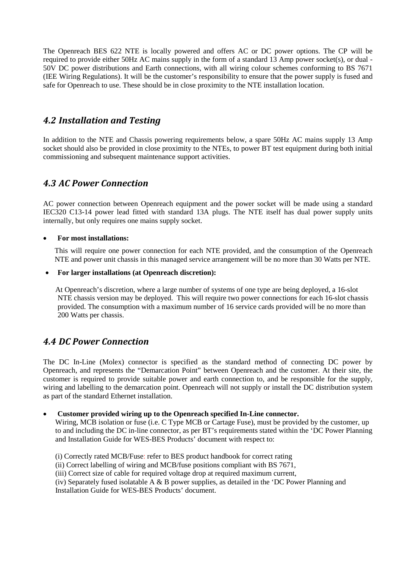The Openreach BES 622 NTE is locally powered and offers AC or DC power options. The CP will be required to provide either 50Hz AC mains supply in the form of a standard 13 Amp power socket(s), or dual - 50V DC power distributions and Earth connections, with all wiring colour schemes conforming to BS 7671 (IEE Wiring Regulations). It will be the customer's responsibility to ensure that the power supply is fused and safe for Openreach to use. These should be in close proximity to the NTE installation location.

## <span id="page-5-0"></span>*4.2 Installation and Testing*

In addition to the NTE and Chassis powering requirements below, a spare 50Hz AC mains supply 13 Amp socket should also be provided in close proximity to the NTEs, to power BT test equipment during both initial commissioning and subsequent maintenance support activities.

## <span id="page-5-1"></span>*4.3 AC Power Connection*

AC power connection between Openreach equipment and the power socket will be made using a standard IEC320 C13-14 power lead fitted with standard 13A plugs. The NTE itself has dual power supply units internally, but only requires one mains supply socket.

#### • **For most installations:**

This will require one power connection for each NTE provided, and the consumption of the Openreach NTE and power unit chassis in this managed service arrangement will be no more than 30 Watts per NTE.

#### • **For larger installations (at Openreach discretion):**

At Openreach's discretion, where a large number of systems of one type are being deployed, a 16-slot NTE chassis version may be deployed. This will require two power connections for each 16-slot chassis provided. The consumption with a maximum number of 16 service cards provided will be no more than 200 Watts per chassis.

## <span id="page-5-2"></span>*4.4 DC Power Connection*

The DC In-Line (Molex) connector is specified as the standard method of connecting DC power by Openreach, and represents the "Demarcation Point" between Openreach and the customer. At their site, the customer is required to provide suitable power and earth connection to, and be responsible for the supply, wiring and labelling to the demarcation point. Openreach will not supply or install the DC distribution system as part of the standard Ethernet installation.

• **Customer provided wiring up to the Openreach specified In-Line connector.** 

Wiring, MCB isolation or fuse (i.e. C Type MCB or Cartage Fuse), must be provided by the customer, up to and including the DC in-line connector, as per BT's requirements stated within the 'DC Power Planning and Installation Guide for WES-BES Products' document with respect to:

- (i) Correctly rated MCB/Fuse: refer to BES product handbook for correct rating
- (ii) Correct labelling of wiring and MCB/fuse positions compliant with BS 7671,
- (iii) Correct size of cable for required voltage drop at required maximum current,
- (iv) Separately fused isolatable A & B power supplies, as detailed in the 'DC Power Planning and Installation Guide for WES-BES Products' document.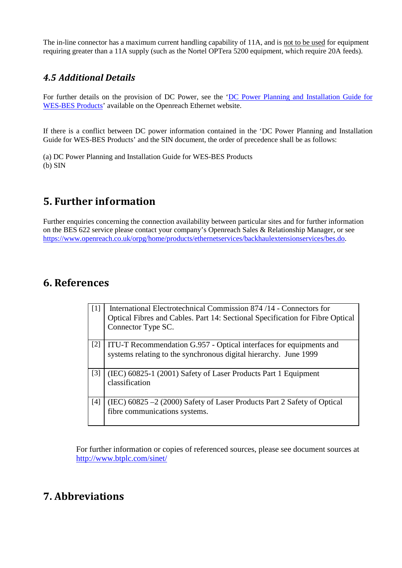The in-line connector has a maximum current handling capability of 11A, and is not to be used for equipment requiring greater than a 11A supply (such as the Nortel OPTera 5200 equipment, which require 20A feeds).

## <span id="page-6-0"></span>*4.5 Additional Details*

For further details on the provision of DC Power, see the 'DC Power Planning and Installation Guide for [WES-BES Products'](https://www.openreach.co.uk/orpg/home/newlogin.do?smauthreason=0&target=http%3A%2F%2Fwww.openreach.co.uk%2Forpg%2Fcustomerzone%2Fproducts%2Fethernetservices%2Fethernetaccessdirect%2Fdescription%2Fsupplementaryinformation%2Fsupplementaryinfo.do&fromMasterHead=1) available on the Openreach Ethernet website.

If there is a conflict between DC power information contained in the 'DC Power Planning and Installation Guide for WES-BES Products' and the SIN document, the order of precedence shall be as follows:

(a) DC Power Planning and Installation Guide for WES-BES Products (b) SIN

## <span id="page-6-1"></span>**5. Further information**

Further enquiries concerning the connection availability between particular sites and for further information on the BES 622 service please contact your company's Openreach Sales & Relationship Manager, or see [https://www.openreach.co.uk/orpg/home/products/ethernetservices/backhaulextensionservices/bes.do.](https://www.openreach.co.uk/orpg/home/products/ethernetservices/backhaulextensionservices/bes.do)

## <span id="page-6-2"></span>**6. References**

| $\lceil 1 \rceil$ | International Electrotechnical Commission 874 /14 - Connectors for<br>Optical Fibres and Cables. Part 14: Sectional Specification for Fibre Optical<br>Connector Type SC. |
|-------------------|---------------------------------------------------------------------------------------------------------------------------------------------------------------------------|
| $[2]$             | ITU-T Recommendation G.957 - Optical interfaces for equipments and<br>systems relating to the synchronous digital hierarchy. June 1999                                    |
| $\lceil 3 \rceil$ | (IEC) 60825-1 (2001) Safety of Laser Products Part 1 Equipment<br>classification                                                                                          |
|                   | (IEC) $60825 - 2$ (2000) Safety of Laser Products Part 2 Safety of Optical<br>fibre communications systems.                                                               |

For further information or copies of referenced sources, please see document sources at <http://www.btplc.com/sinet/>

## <span id="page-6-3"></span>**7. Abbreviations**